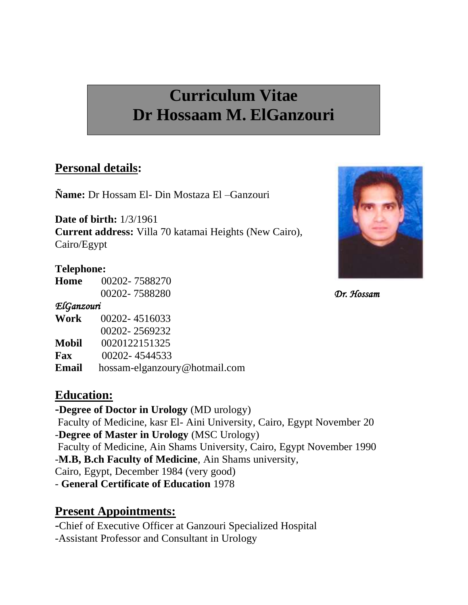# **Curriculum Vitae Dr Hossaam M. ElGanzouri**

## **Personal details:**

**Ñame:** Dr Hossam El- Din Mostaza El –Ganzouri

**Date of birth:** 1/3/1961 **Current address:** Villa 70 katamai Heights (New Cairo), Cairo/Egypt

#### **Telephone:**

**Home** 00202- 7588270 00202- 7588280 *Dr. Hossam* 

#### *ElGanzouri*

| Work         | 00202-4516033                 |
|--------------|-------------------------------|
|              | 00202-2569232                 |
| <b>Mobil</b> | 0020122151325                 |
| Fax          | 00202-4544533                 |
| <b>Email</b> | hossam-elganzoury@hotmail.com |

### **Education:**

**-Degree of Doctor in Urology** (MD urology) Faculty of Medicine, kasr El- Aini University, Cairo, Egypt November 20 -**Degree of Master in Urology** (MSC Urology) Faculty of Medicine, Ain Shams University, Cairo, Egypt November 1990 -**M.B, B.ch Faculty of Medicine**, Ain Shams university, Cairo, Egypt, December 1984 (very good) - **General Certificate of Education** 1978

## **Present Appointments:**

-Chief of Executive Officer at Ganzouri Specialized Hospital -Assistant Professor and Consultant in Urology